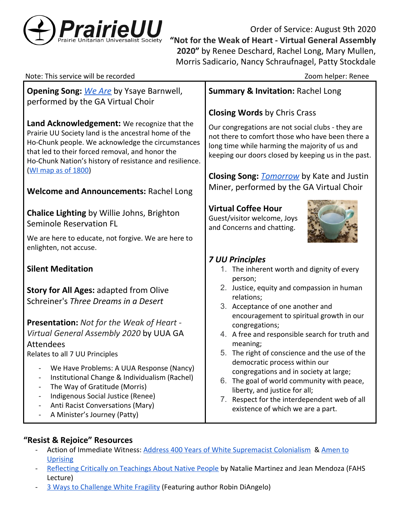

Order of Service: August 9th 2020 **"Not for the Weak of Heart - Virtual General Assembly 2020"** by Renee Deschard, Rachel Long, Mary Mullen, Morris Sadicario, Nancy Schraufnagel, Patty Stockdale

| Note: This service will be recorded                                                                                                                                                                                                                                                         | Zoom helper: Renee                                                                                                                                                                                                                                |
|---------------------------------------------------------------------------------------------------------------------------------------------------------------------------------------------------------------------------------------------------------------------------------------------|---------------------------------------------------------------------------------------------------------------------------------------------------------------------------------------------------------------------------------------------------|
| <b>Opening Song:</b> We Are by Ysaye Barnwell,<br>performed by the GA Virtual Choir                                                                                                                                                                                                         | <b>Summary &amp; Invitation: Rachel Long</b>                                                                                                                                                                                                      |
|                                                                                                                                                                                                                                                                                             | <b>Closing Words by Chris Crass</b>                                                                                                                                                                                                               |
| Land Acknowledgement: We recognize that the<br>Prairie UU Society land is the ancestral home of the<br>Ho-Chunk people. We acknowledge the circumstances<br>that led to their forced removal, and honor the<br>Ho-Chunk Nation's history of resistance and resilience.<br>WI map as of 1800 | Our congregations are not social clubs - they are<br>not there to comfort those who have been there a<br>long time while harming the majority of us and<br>keeping our doors closed by keeping us in the past.                                    |
|                                                                                                                                                                                                                                                                                             | <b>Closing Song: <i>Tomorrow</i></b> by Kate and Justin                                                                                                                                                                                           |
| <b>Welcome and Announcements: Rachel Long</b>                                                                                                                                                                                                                                               | Miner, performed by the GA Virtual Choir                                                                                                                                                                                                          |
| <b>Chalice Lighting by Willie Johns, Brighton</b><br><b>Seminole Reservation FL</b>                                                                                                                                                                                                         | <b>Virtual Coffee Hour</b><br>Guest/visitor welcome, Joys<br>and Concerns and chatting.                                                                                                                                                           |
| We are here to educate, not forgive. We are here to<br>enlighten, not accuse.                                                                                                                                                                                                               |                                                                                                                                                                                                                                                   |
| <b>Silent Meditation</b>                                                                                                                                                                                                                                                                    | <b>7 UU Principles</b><br>1. The inherent worth and dignity of every                                                                                                                                                                              |
| Story for All Ages: adapted from Olive<br>Schreiner's Three Dreams in a Desert                                                                                                                                                                                                              | person;<br>2. Justice, equity and compassion in human<br>relations;<br>3. Acceptance of one another and                                                                                                                                           |
| Presentation: Not for the Weak of Heart -<br>Virtual General Assembly 2020 by UUA GA<br><b>Attendees</b><br>Relates to all 7 UU Principles                                                                                                                                                  | encouragement to spiritual growth in our<br>congregations;<br>4. A free and responsible search for truth and<br>meaning;<br>5. The right of conscience and the use of the                                                                         |
| We Have Problems: A UUA Response (Nancy)<br>Institutional Change & Individualism (Rachel)<br>The Way of Gratitude (Morris)<br>Indigenous Social Justice (Renee)<br>$\overline{\phantom{0}}$<br>Anti Racist Conversations (Mary)<br>A Minister's Journey (Patty)                             | democratic process within our<br>congregations and in society at large;<br>The goal of world community with peace,<br>6.<br>liberty, and justice for all;<br>Respect for the interdependent web of all<br>7.<br>existence of which we are a part. |

# **"Resist & Rejoice" Resources**

- Action of Immediate Witness: [Address 400 Years of White Supremacist Colonialism](https://www.uua.org/sites/live-new.uua.org/files/aiw_a_version_2.pdf) & [Amen to](https://www.uua.org/sites/live-new.uua.org/files/aiw_b_version_2.pdf) [Uprising](https://www.uua.org/sites/live-new.uua.org/files/aiw_b_version_2.pdf)
- [Reflecting Critically on Teachings About Native People](https://drive.google.com/file/d/1T-27hIT3tfHLvLV097DgL6aD_3B2d0xH/view) by Natalie Martinez and Jean Mendoza (FAHS Lecture)
- [3 Ways to Challenge White Fragility](https://www.youtube.com/watch?v=5xtZ0nAFHow) (Featuring author Robin DiAngelo)